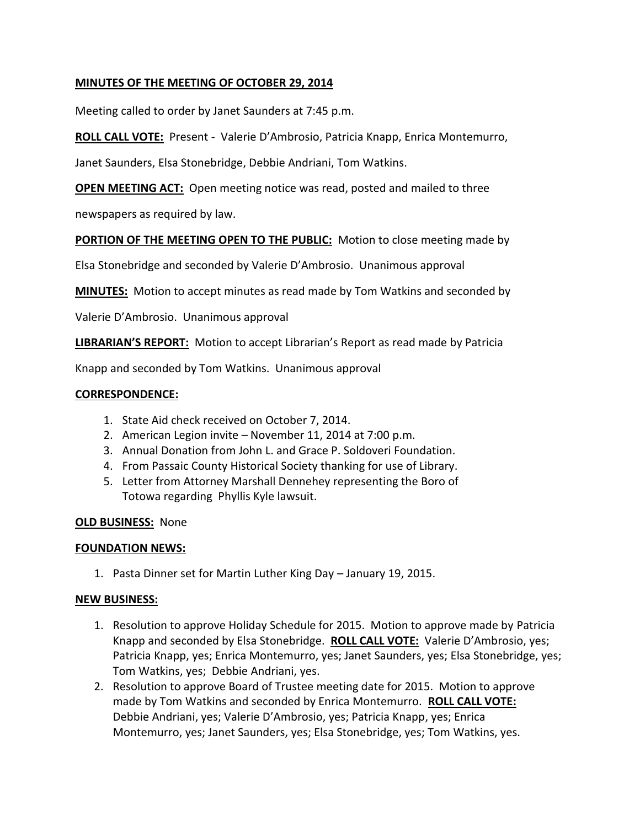## **MINUTES OF THE MEETING OF OCTOBER 29, 2014**

Meeting called to order by Janet Saunders at 7:45 p.m.

**ROLL CALL VOTE:** Present - Valerie D'Ambrosio, Patricia Knapp, Enrica Montemurro,

Janet Saunders, Elsa Stonebridge, Debbie Andriani, Tom Watkins.

**OPEN MEETING ACT:** Open meeting notice was read, posted and mailed to three

newspapers as required by law.

**PORTION OF THE MEETING OPEN TO THE PUBLIC:** Motion to close meeting made by

Elsa Stonebridge and seconded by Valerie D'Ambrosio. Unanimous approval

**MINUTES:** Motion to accept minutes as read made by Tom Watkins and seconded by

Valerie D'Ambrosio. Unanimous approval

**LIBRARIAN'S REPORT:** Motion to accept Librarian's Report as read made by Patricia

Knapp and seconded by Tom Watkins. Unanimous approval

#### **CORRESPONDENCE:**

- 1. State Aid check received on October 7, 2014.
- 2. American Legion invite November 11, 2014 at 7:00 p.m.
- 3. Annual Donation from John L. and Grace P. Soldoveri Foundation.
- 4. From Passaic County Historical Society thanking for use of Library.
- 5. Letter from Attorney Marshall Dennehey representing the Boro of Totowa regarding Phyllis Kyle lawsuit.

### **OLD BUSINESS:** None

#### **FOUNDATION NEWS:**

1. Pasta Dinner set for Martin Luther King Day – January 19, 2015.

#### **NEW BUSINESS:**

- 1. Resolution to approve Holiday Schedule for 2015. Motion to approve made by Patricia Knapp and seconded by Elsa Stonebridge. **ROLL CALL VOTE:** Valerie D'Ambrosio, yes; Patricia Knapp, yes; Enrica Montemurro, yes; Janet Saunders, yes; Elsa Stonebridge, yes; Tom Watkins, yes; Debbie Andriani, yes.
- 2. Resolution to approve Board of Trustee meeting date for 2015. Motion to approve made by Tom Watkins and seconded by Enrica Montemurro. **ROLL CALL VOTE:** Debbie Andriani, yes; Valerie D'Ambrosio, yes; Patricia Knapp, yes; Enrica Montemurro, yes; Janet Saunders, yes; Elsa Stonebridge, yes; Tom Watkins, yes.